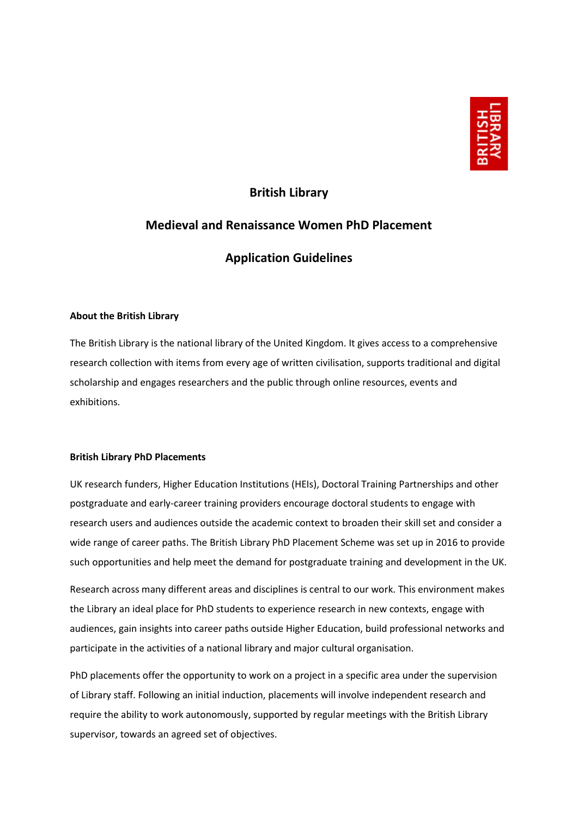

# **British Library**

# **Medieval and Renaissance Women PhD Placement**

# **Application Guidelines**

## **About the British Library**

The British Library is the national library of the United Kingdom. It gives access to a comprehensive research collection with items from every age of written civilisation, supports traditional and digital scholarship and engages researchers and the public through online resources, events and exhibitions.

## **British Library PhD Placements**

UK research funders, Higher Education Institutions (HEIs), Doctoral Training Partnerships and other postgraduate and early-career training providers encourage doctoral students to engage with research users and audiences outside the academic context to broaden their skill set and consider a wide range of career paths. The British Library PhD Placement Scheme was set up in 2016 to provide such opportunities and help meet the demand for postgraduate training and development in the UK.

Research across many different areas and disciplines is central to our work. This environment makes the Library an ideal place for PhD students to experience research in new contexts, engage with audiences, gain insights into career paths outside Higher Education, build professional networks and participate in the activities of a national library and major cultural organisation.

PhD placements offer the opportunity to work on a project in a specific area under the supervision of Library staff. Following an initial induction, placements will involve independent research and require the ability to work autonomously, supported by regular meetings with the British Library supervisor, towards an agreed set of objectives.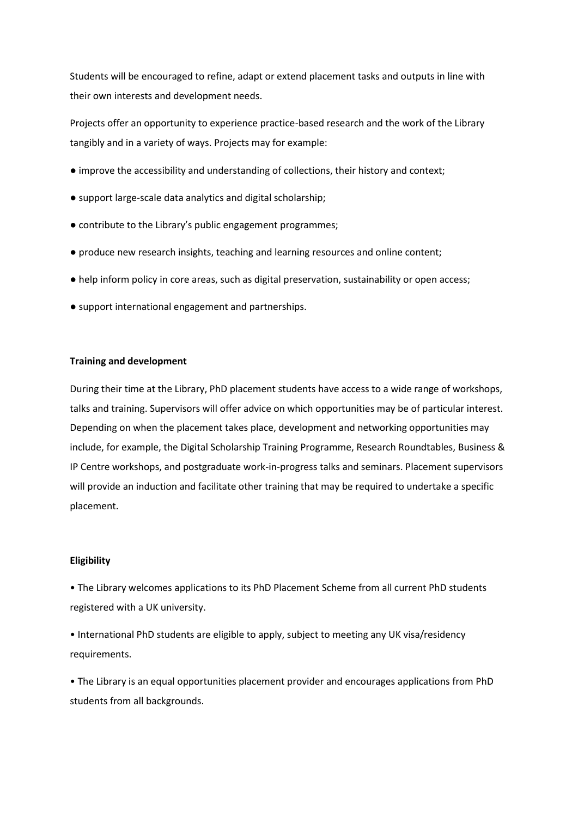Students will be encouraged to refine, adapt or extend placement tasks and outputs in line with their own interests and development needs.

Projects offer an opportunity to experience practice-based research and the work of the Library tangibly and in a variety of ways. Projects may for example:

- improve the accessibility and understanding of collections, their history and context;
- support large-scale data analytics and digital scholarship;
- contribute to the Library's public engagement programmes;
- produce new research insights, teaching and learning resources and online content;
- help inform policy in core areas, such as digital preservation, sustainability or open access;
- support international engagement and partnerships.

#### **Training and development**

During their time at the Library, PhD placement students have access to a wide range of workshops, talks and training. Supervisors will offer advice on which opportunities may be of particular interest. Depending on when the placement takes place, development and networking opportunities may include, for example, the Digital Scholarship Training Programme, Research Roundtables, Business & IP Centre workshops, and postgraduate work-in-progress talks and seminars. Placement supervisors will provide an induction and facilitate other training that may be required to undertake a specific placement.

#### **Eligibility**

• The Library welcomes applications to its PhD Placement Scheme from all current PhD students registered with a UK university.

• International PhD students are eligible to apply, subject to meeting any UK visa/residency requirements.

• The Library is an equal opportunities placement provider and encourages applications from PhD students from all backgrounds.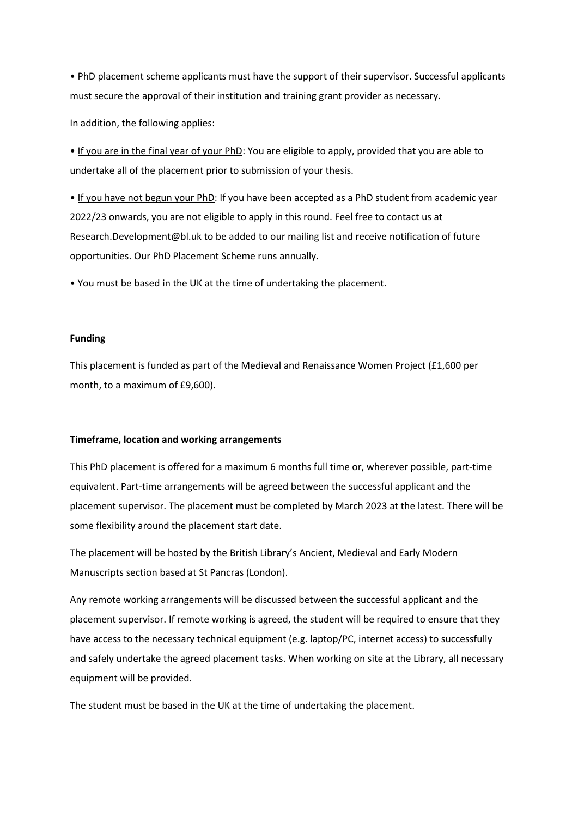• PhD placement scheme applicants must have the support of their supervisor. Successful applicants must secure the approval of their institution and training grant provider as necessary.

In addition, the following applies:

• If you are in the final year of your PhD: You are eligible to apply, provided that you are able to undertake all of the placement prior to submission of your thesis.

• If you have not begun your PhD: If you have been accepted as a PhD student from academic year 2022/23 onwards, you are not eligible to apply in this round. Feel free to contact us at Research.Development@bl.uk to be added to our mailing list and receive notification of future opportunities. Our PhD Placement Scheme runs annually.

• You must be based in the UK at the time of undertaking the placement.

#### **Funding**

This placement is funded as part of the Medieval and Renaissance Women Project (£1,600 per month, to a maximum of £9,600).

#### **Timeframe, location and working arrangements**

This PhD placement is offered for a maximum 6 months full time or, wherever possible, part-time equivalent. Part-time arrangements will be agreed between the successful applicant and the placement supervisor. The placement must be completed by March 2023 at the latest. There will be some flexibility around the placement start date.

The placement will be hosted by the British Library's Ancient, Medieval and Early Modern Manuscripts section based at St Pancras (London).

Any remote working arrangements will be discussed between the successful applicant and the placement supervisor. If remote working is agreed, the student will be required to ensure that they have access to the necessary technical equipment (e.g. laptop/PC, internet access) to successfully and safely undertake the agreed placement tasks. When working on site at the Library, all necessary equipment will be provided.

The student must be based in the UK at the time of undertaking the placement.